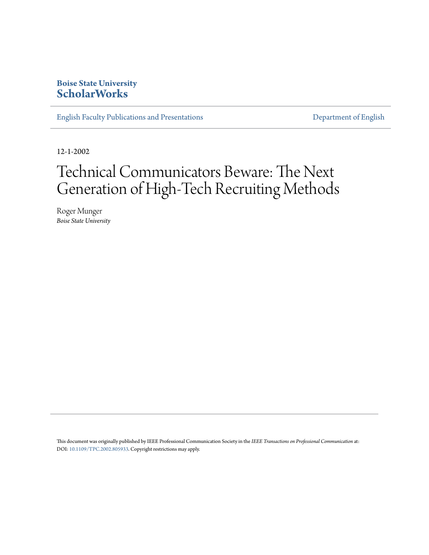# **Boise State University [ScholarWorks](https://scholarworks.boisestate.edu)**

[English Faculty Publications and Presentations](https://scholarworks.boisestate.edu/english_facpubs) **[Department of English](https://scholarworks.boisestate.edu/english)** 

12-1-2002

# Technical Communicators Beware: The Next Generation of High-Tech Recruiting Methods

Roger Munger *Boise State University*

This document was originally published by IEEE Professional Communication Society in the *IEEE Transactions on Professional Communication* at: DOI: [10.1109/TPC.2002.805933](http://dx.doi.org/10.1109/TPC.2002.805933). Copyright restrictions may apply.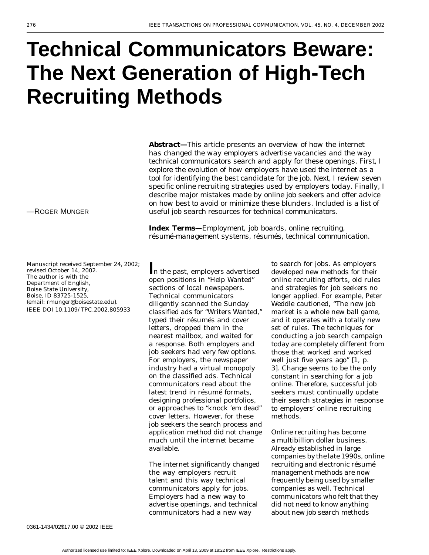# **Technical Communicators Beware: The Next Generation of High-Tech Recruiting Methods**

*Abstract—This article presents an overview of how the internet has changed the way employers advertise vacancies and the way technical communicators search and apply for these openings. First, I explore the evolution of how employers have used the internet as a tool for identifying the best candidate for the job. Next, I review seven specific online recruiting strategies used by employers today. Finally, I describe major mistakes made by online job seekers and offer advice on how best to avoid or minimize these blunders. Included is a list of useful job search resources for technical communicators.*

*Index Terms—Employment, job boards, online recruiting, résumé-management systems, résumés, technical communication.*

**I**n the past, employers advertised open positions in "Help Wanted" sections of local newspapers. Technical communicators diligently scanned the Sunday classified ads for "Writers Wanted," typed their résumés and cover letters, dropped them in the nearest mailbox, and waited for a response. Both employers and job seekers had very few options. For employers, the newspaper industry had a virtual monopoly on the classified ads. Technical communicators read about the latest trend in résumé formats, designing professional portfolios, or approaches to "knock 'em dead" cover letters. However, for these job seekers the search process and application method did not change much until the internet became available.

The internet significantly changed the way employers recruit talent and this way technical communicators apply for jobs. Employers had a new way to advertise openings, and technical communicators had a new way

to search for jobs. As employers developed new methods for their online recruiting efforts, old rules and strategies for job seekers no longer applied. For example, Peter Weddle cautioned, "The new job market is a whole new ball game, and it operates with a totally new set of rules. The techniques for conducting a job search campaign today are completely different from those that worked and worked well just five years ago" [1, p. 3]. Change seems to be the only constant in searching for a job online. Therefore, successful job seekers must continually update their search strategies in response to employers' online recruiting methods.

Online recruiting has become a multibillion dollar business. Already established in large companies by the late 1990s, online recruiting and electronic résumé management methods are now frequently being used by smaller companies as well. Technical communicators who felt that they did not need to know anything about new job search methods

—ROGER MUNGER

Manuscript received September 24, 2002; revised October 14, 2002. The author is with the Department of English, Boise State University, Boise, ID 83725-1525, (email: rmunger@boisestate.edu). IEEE DOI 10.1109/TPC.2002.805933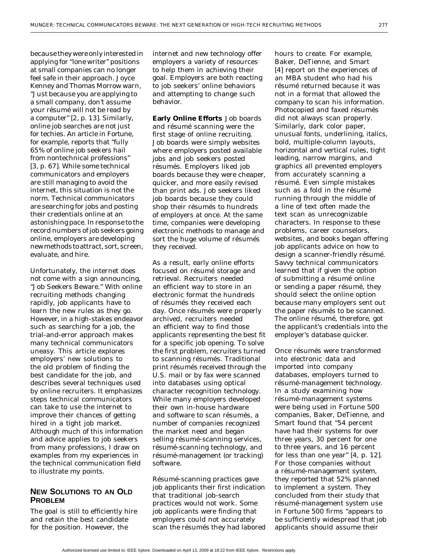because they were only interested in applying for "lone writer" positions at small companies can no longer feel safe in their approach. Joyce Kenney and Thomas Morrow warn, "Just because you are applying to a small company, don't assume your résumé will not be read by a computer" [2, p. 13]. Similarly, online job searches are not just for techies. An article in *Fortune*, for example, reports that "fully 65% of online job seekers hail from nontechnical professions" [3, p. 67]. While some technical communicators and employers are still managing to avoid the internet, this situation is not the norm. Technical communicators are searching for jobs and posting their credentials online at an astonishing pace. In response to the record numbers of job seekers going online, employers are developing newmethodstoattract,sort,screen, evaluate, and hire.

Unfortunately, the internet does not come with a sign announcing, "Job Seekers Beware." With online recruiting methods changing rapidly, job applicants have to learn the new rules as they go. However, in a high-stakes endeavor such as searching for a job, the trial-and-error approach makes many technical communicators uneasy. This article explores employers' new solutions to the old problem of finding the best candidate for the job, and describes several techniques used by online recruiters. It emphasizes steps technical communicators can take to use the internet to improve their chances of getting hired in a tight job market. Although much of this information and advice applies to job seekers from many professions, I draw on examples from my experiences in the technical communication field to illustrate my points.

# **NEW SOLUTIONS TO AN OLD PROBLEM**

The goal is still to efficiently hire and retain the best candidate for the position. However, the

internet and new technology offer employers a variety of resources to help them in achieving their goal. Employers are both reacting to job seekers' online behaviors and attempting to change such behavior.

**Early Online Efforts** Job boards and résumé scanning were the first stage of online recruiting. Job boards were simply websites where employers posted available jobs and job seekers posted résumés. Employers liked job boards because they were cheaper, quicker, and more easily revised than print ads. Job seekers liked job boards because they could shop their résumés to hundreds of employers at once. At the same time, companies were developing electronic methods to manage and sort the huge volume of résumés they received.

As a result, early online efforts focused on résumé storage and retrieval. Recruiters needed an efficient way to store in an electronic format the hundreds of résumés they received each day. Once résumés were properly archived, recruiters needed an efficient way to find those applicants representing the best fit for a specific job opening. To solve the first problem, recruiters turned to scanning résumés. Traditional print résumés received through the U.S. mail or by fax were scanned into databases using optical character recognition technology. While many employers developed their own in-house hardware and software to scan résumés, a number of companies recognized the market need and began selling résumé-scanning services, résumé-scanning technology, and résumé-management (or tracking) software.

Résumé-scanning practices gave job applicants their first indication that traditional job-search practices would not work. Some job applicants were finding that employers could not accurately scan the résumés they had labored hours to create. For example, Baker, DeTienne, and Smart [4] report on the experiences of an MBA student who had his résumé returned because it was not in a format that allowed the company to scan his information. Photocopied and faxed résumés did not always scan properly. Similarly, dark color paper, unusual fonts, underlining, italics, bold, multiple-column layouts, horizontal and vertical rules, tight leading, narrow margins, and graphics all prevented employers from accurately scanning a résumé. Even simple mistakes such as a fold in the résumé running through the middle of a line of text often made the text scan as unrecognizable characters. In response to these problems, career counselors, websites, and books began offering job applicants advice on how to design a scanner-friendly résumé. Savvy technical communicators learned that if given the option of submitting a résumé online or sending a paper résumé, they should select the online option because many employers sent out the paper résumés to be scanned. The online résumé, therefore, got the applicant's credentials into the employer's database quicker.

Once résumés were transformed into electronic data and imported into company databases, employers turned to résumé-management technology. In a study examining how résumé-management systems were being used in Fortune 500 companies, Baker, DeTienne, and Smart found that "54 percent have had their systems for over three years, 30 percent for one to three years, and 16 percent for less than one year" [4, p. 12]. For those companies without a résumé-management system, they reported that 52% planned to implement a system. They concluded from their study that résumé-management system use in Fortune 500 firms "appears to be sufficiently widespread that job applicants should assume their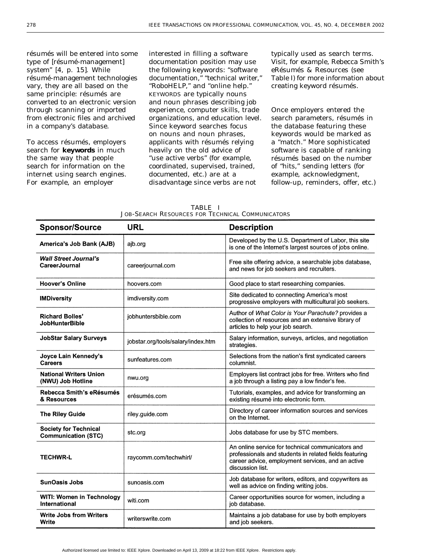résumés will be entered into some type of [résumé-management] system" [4, p. 15]. While résumé-management technologies vary, they are all based on the same principle: résumés are converted to an electronic version through scanning or imported from electronic files and archived in a company's database.

To access résumés, employers search for **keywords** in much the same way that people search for information on the internet using search engines. For example, an employer

interested in filling a software documentation position may use the following keywords: "software documentation," "technical writer," "RoboHELP," and "online help." KEYWORDS are typically nouns and noun phrases describing job experience, computer skills, trade organizations, and education level. Since keyword searches focus on nouns and noun phrases, applicants with résumés relying heavily on the old advice of "use active verbs" (for example, *coordinated*, *supervised*, *trained*, *documented*, etc.) are at a disadvantage since verbs are not

typically used as search terms. Visit, for example, Rebecca Smith's eRésumés & Resources (see Table I) for more information about creating keyword résumés.

Once employers entered the search parameters, résumés in the database featuring these keywords would be marked as a "match." More sophisticated software is capable of ranking résumés based on the number of "hits," sending letters (for example, acknowledgment, follow-up, reminders, offer, etc.)

| <b>Sponsor/Source</b>                                      | <b>URL</b>                         | <b>Description</b>                                                                                                                                                                   |
|------------------------------------------------------------|------------------------------------|--------------------------------------------------------------------------------------------------------------------------------------------------------------------------------------|
| America's Job Bank (AJB)                                   | ajb.org                            | Developed by the U.S. Department of Labor, this site<br>is one of the Internet's largest sources of jobs online.                                                                     |
| <b>Wall Street Journal's</b><br><b>CareerJournal</b>       | careerjournal.com                  | Free site offering advice, a searchable jobs database,<br>and news for job seekers and recruiters.                                                                                   |
| <b>Hoover's Online</b>                                     | hoovers.com                        | Good place to start researching companies.                                                                                                                                           |
| <b>IMDiversity</b>                                         | imdiversity.com                    | Site dedicated to connecting America's most<br>progressive employers with multicultural job seekers.                                                                                 |
| <b>Richard Bolles'</b><br><b>JobHunterBible</b>            | jobhuntersbible.com                | Author of What Color is Your Parachute? provides a<br>collection of resources and an extensive library of<br>articles to help your job search.                                       |
| <b>JobStar Salary Surveys</b>                              | jobstar.org/tools/salary/index.htm | Salary information, surveys, articles, and negotiation<br>strategies.                                                                                                                |
| Joyce Lain Kennedy's<br><b>Careers</b>                     | sunfeatures.com                    | Selections from the nation's first syndicated careers<br>columnist.                                                                                                                  |
| <b>National Writers Union</b><br>(NWU) Job Hotline         | nwu.org                            | Employers list contract jobs for free. Writers who find<br>a job through a listing pay a low finder's fee.                                                                           |
| Rebecca Smith's eRésumés<br>& Resources                    | erésumés.com                       | Tutorials, examples, and advice for transforming an<br>existing résumé into electronic form.                                                                                         |
| <b>The Riley Guide</b>                                     | riley.guide.com                    | Directory of career information sources and services<br>on the Internet.                                                                                                             |
| <b>Society for Technical</b><br><b>Communication (STC)</b> | stc.org                            | Jobs database for use by STC members.                                                                                                                                                |
| <b>TECHWR-L</b>                                            | raycomm.com/techwhirl/             | An online service for technical communicators and<br>professionals and students in related fields featuring<br>career advice, employment services, and an active<br>discussion list. |
| <b>SunOasis Jobs</b>                                       | sunoasis.com                       | Job database for writers, editors, and copywriters as<br>well as advice on finding writing jobs.                                                                                     |
| WITI: Women in Technology<br><b>International</b>          | witi.com                           | Career opportunities source for women, including a<br>job database.                                                                                                                  |
| <b>Write Jobs from Writers</b><br>Write                    | writerswrite.com                   | Maintains a job database for use by both employers<br>and job seekers.                                                                                                               |

TABLE I JOB-SEARCH RESOURCES FOR TECHNICAL COMMUNICATORS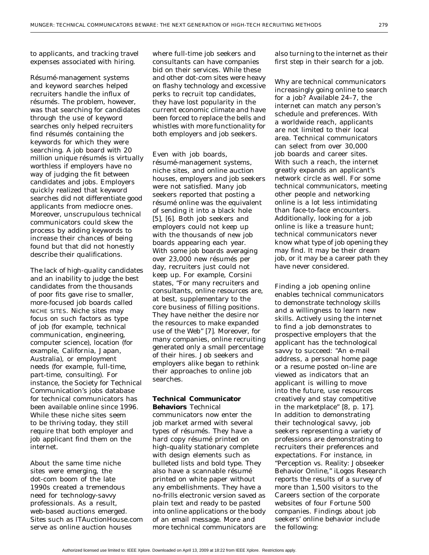to applicants, and tracking travel expenses associated with hiring.

Résumé-management systems and keyword searches helped recruiters handle the influx of résumés. The problem, however, was that searching for candidates through the use of keyword searches only helped recruiters find résumés containing the keywords for which they were searching. A job board with 20 million unique résumés is virtually worthless if employers have no way of judging the fit between candidates and jobs. Employers quickly realized that keyword searches did not differentiate good applicants from mediocre ones. Moreover, unscrupulous technical communicators could skew the process by adding keywords to increase their chances of being found but that did not honestly describe their qualifications.

The lack of high-quality candidates and an inability to judge the best candidates from the thousands of poor fits gave rise to smaller, more-focused job boards called NICHE SITES. Niche sites may focus on such factors as type of job (for example, technical communication, engineering, computer science), location (for example, California, Japan, Australia), or employment needs (for example, full-time, part-time, consulting). For instance, the Society for Technical Communication's jobs database for technical communicators has been available online since 1996. While these niche sites seem to be thriving today, they still require that both employer and job applicant find them on the internet.

About the same time niche sites were emerging, the dot-com boom of the late 1990s created a tremendous need for technology-savvy professionals. As a result, web-based auctions emerged. Sites such as ITAuctionHouse.com serve as online auction houses

where full-time job seekers and consultants can have companies bid on their services. While these and other dot-com sites were heavy on flashy technology and excessive perks to recruit top candidates, they have lost popularity in the current economic climate and have been forced to replace the bells and whistles with more functionality for both employers and job seekers.

Even with job boards, résumé-management systems, niche sites, and online auction houses, employers and job seekers were not satisfied. Many job seekers reported that posting a résumé online was the equivalent of sending it into a black hole [5], [6]. Both job seekers and employers could not keep up with the thousands of new job boards appearing each year. With some job boards averaging over 23,000 new résumés per day, recruiters just could not keep up. For example, Corsini states, "For many recruiters and consultants, online resources are, at best, supplementary to the core business of filling positions. They have neither the desire nor the resources to make expanded use of the Web" [7]. Moreover, for many companies, online recruiting generated only a small percentage of their hires. Job seekers and employers alike began to rethink their approaches to online job searches.

#### **Technical Communicator Behaviors** Technical

communicators now enter the job market armed with several types of résumés. They have a hard copy résumé printed on high-quality stationary complete with design elements such as bulleted lists and bold type. They also have a scannable résumé printed on white paper without any embellishments. They have a no-frills electronic version saved as plain text and ready to be pasted into online applications or the body of an email message. More and more technical communicators are

also turning to the internet as their first step in their search for a job.

Why are technical communicators increasingly going online to search for a job? Available 24–7, the internet can match any person's schedule and preferences. With a worldwide reach, applicants are not limited to their local area. Technical communicators can select from over 30,000 job boards and career sites. With such a reach, the internet greatly expands an applicant's network circle as well. For some technical communicators, meeting other people and networking online is a lot less intimidating than face-to-face encounters. Additionally, looking for a job online is like a treasure hunt; technical communicators never know what type of job opening they may find. It may be their dream job, or it may be a career path they have never considered.

Finding a job opening online enables technical communicators to demonstrate technology skills and a willingness to learn new skills. Actively using the internet to find a job demonstrates to prospective employers that the applicant has the technological savvy to succeed: "An e-mail address, a personal home page or a resume posted on-line are viewed as indicators that an applicant is willing to move into the future, use resources creatively and stay competitive in the marketplace" [8, p. 17]. In addition to demonstrating their technological savvy, job seekers representing a variety of professions are demonstrating to recruiters their preferences and expectations. For instance, in "Perception vs. Reality: Jobseeker Behavior Online," iLogos Research reports the results of a survey of more than 1,500 visitors to the Careers section of the corporate websites of four Fortune 500 companies. Findings about job seekers' online behavior include the following: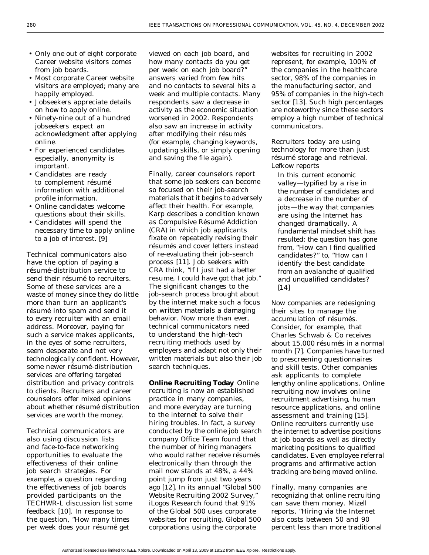- Only one out of eight corporate Career website visitors comes from job boards.
- Most corporate Career website visitors are employed; many are happily employed.
- Jobseekers appreciate details on how to apply online.
- Ninety-nine out of a hundred jobseekers expect an acknowledgment after applying online.
- For experienced candidates especially, anonymity is important.
- Candidates are ready to complement résumé information with additional profile information.
- Online candidates welcome questions about their skills.
- Candidates will spend the necessary time to apply online to a job of interest. [9]

Technical communicators also have the option of paying a résumé-distribution service to send their résumé to recruiters. Some of these services are a waste of money since they do little more than turn an applicant's résumé into spam and send it to every recruiter with an email address. Moreover, paying for such a service makes applicants, in the eyes of some recruiters, seem desperate and not very technologically confident. However, some newer résumé-distribution services are offering targeted distribution and privacy controls to clients. Recruiters and career counselors offer mixed opinions about whether résumé distribution services are worth the money.

Technical communicators are also using discussion lists and face-to-face networking opportunities to evaluate the effectiveness of their online job search strategies. For example, a question regarding the effectiveness of job boards provided participants on the TECHWR-L discussion list some feedback [10]. In response to the question, "How many times per week does your résumé get

viewed on each job board, and how many contacts do you get per week on each job board?" answers varied from few hits and no contacts to several hits a week and multiple contacts. Many respondents saw a decrease in activity as the economic situation worsened in 2002. Respondents also saw an increase in activity after modifying their résumés (for example, changing keywords, updating skills, or simply opening and saving the file again).

Finally, career counselors report that some job seekers can become so focused on their job-search materials that it begins to adversely affect their health. For example, Karp describes a condition known as Compulsive Résumé Addiction (CRA) in which job applicants fixate on repeatedly revising their résumés and cover letters instead of re-evaluating their job-search process [11]. Job seekers with CRA think, "If I just had a better resume, I could have got that job." The significant changes to the job-search process brought about by the internet make such a focus on written materials a damaging behavior. Now more than ever, technical communicators need to understand the high-tech recruiting methods used by employers and adapt not only their written materials but also their job search techniques.

**Online Recruiting Today** Online recruiting is now an established practice in many companies, and more everyday are turning to the internet to solve their hiring troubles. In fact, a survey conducted by the online job search company Office Team found that the number of hiring managers who would rather receive résumés electronically than through the mail now stands at 48%, a 44% point jump from just two years ago [12]. In its annual "Global 500 Website Recruiting 2002 Survey," iLogos Research found that 91% of the Global 500 uses corporate websites for recruiting. Global 500 corporations using the corporate

websites for recruiting in 2002 represent, for example, 100% of the companies in the healthcare sector, 98% of the companies in the manufacturing sector, and 95% of companies in the high-tech sector [13]. Such high percentages are noteworthy since these sectors employ a high number of technical communicators.

Recruiters today are using technology for more than just résumé storage and retrieval. Lefkow reports

*In this current economic valley—typified by a rise in the number of candidates and a decrease in the number of jobs—the way that companies are using the Internet has changed dramatically. A fundamental mindset shift has resulted: the question has gone from, "How can I find qualified candidates?" to, "How can I identify the best candidate from an avalanche of qualified and unqualified candidates? [14]*

Now companies are redesigning their sites to manage the accumulation of résumés. Consider, for example, that Charles Schwab & Co receives about 15,000 résumés in a normal month [7]. Companies have turned to prescreening questionnaires and skill tests. Other companies ask applicants to complete lengthy online applications. Online recruiting now involves online recruitment advertising, human resource applications, and online assessment and training [15]. Online recruiters currently use the internet to advertise positions at job boards as well as directly marketing positions to qualified candidates. Even employee referral programs and affirmative action tracking are being moved online.

Finally, many companies are recognizing that online recruiting can save them money. Mizell reports, "Hiring via the Internet also costs between 50 and 90 percent less than more traditional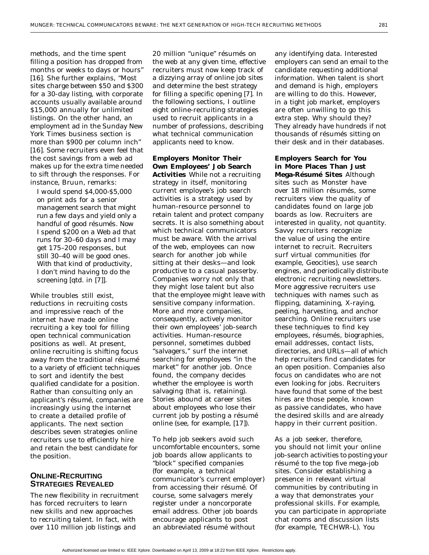methods, and the time spent filling a position has dropped from months or weeks to days or hours" [16]. She further explains, "Most sites charge between \$50 and \$300 for a 30-day listing, with corporate accounts usually available around \$15,000 annually for unlimited listings. On the other hand, an employment ad in the Sunday *New York Times* business section is more than \$900 per column inch" [16]. Some recruiters even feel that the cost savings from a web ad makes up for the extra time needed to sift through the responses. For instance, Bruun, remarks:

*I would spend \$4,000-\$5,000 on print ads for a senior management search that might run a few days and yield only a handful of good résumés. Now I spend \$200 on a Web ad that runs for 30–60 days and I may get 175–200 responses, but still 30–40 will be good ones. With that kind of productivity, I don't mind having to do the screening* [qtd. in [7]].

While troubles still exist, reductions in recruiting costs and impressive reach of the internet have made online recruiting a key tool for filling open technical communication positions as well. At present, online recruiting is shifting focus away from the traditional résumé to a variety of efficient techniques to sort and identify the best qualified candidate for a position. Rather than consulting only an applicant's résumé, companies are increasingly using the internet to create a detailed profile of applicants. The next section describes seven strategies online recruiters use to efficiently hire and retain the best candidate for the position.

# **ONLINE-RECRUITING STRATEGIES REVEALED**

The new flexibility in recruitment has forced recruiters to learn new skills and new approaches to recruiting talent. In fact, with over 110 million job listings and

20 million "unique" résumés on the web at any given time, effective recruiters must now keep track of a dizzying array of online job sites and determine the best strategy for filling a specific opening [7]. In the following sections, I outline eight online-recruiting strategies used to recruit applicants in a number of professions, describing what technical communication applicants need to know.

**Employers Monitor Their Own Employees' Job Search Activities** While not a recruiting strategy in itself, monitoring current employee's job search activities is a strategy used by human-resource personnel to retain talent and protect company secrets. It is also something about which technical communicators must be aware. With the arrival of the web, employees can now search for another job while sitting at their desks—and look productive to a casual passerby. Companies worry not only that they might lose talent but also that the employee might leave with sensitive company information. More and more companies, consequently, actively monitor their own employees' job-search activities. Human-resource personnel, sometimes dubbed "salvagers," surf the internet searching for employees "in the market" for another job. Once found, the company decides whether the employee is worth salvaging (that is, retaining). Stories abound at career sites about employees who lose their current job by posting a résumé online (see, for example, [17]).

To help job seekers avoid such uncomfortable encounters, some job boards allow applicants to "block" specified companies (for example, a technical communicator's current employer) from accessing their résumé. Of course, some salvagers merely register under a noncorporate email address. Other job boards encourage applicants to post an abbreviated résumé without

any identifying data. Interested employers can send an email to the candidate requesting additional information. When talent is short and demand is high, employers are willing to do this. However, in a tight job market, employers are often unwilling to go this extra step. Why should they? They already have hundreds if not thousands of résumés sitting on their desk and in their databases.

**Employers Search for You in More Places Than Just Mega-Résumé Sites** Although sites such as Monster have over 18 million résumés, some recruiters view the quality of candidates found on large job boards as low. Recruiters are interested in quality, not quantity. Savvy recruiters recognize the value of using the entire internet to recruit. Recruiters surf virtual communities (for example, Geocities), use search engines, and periodically distribute electronic recruiting newsletters. More aggressive recruiters use techniques with names such as flipping, datamining, X-raying, peeling, harvesting, and anchor searching. Online recruiters use these techniques to find key employees, résumés, biographies, email addresses, contact lists, directories, and URLs—all of which help recruiters find candidates for an open position. Companies also focus on candidates who are not even looking for jobs. Recruiters have found that some of the best hires are those people, known as passive candidates, who have the desired skills and are already happy in their current position.

As a job seeker, therefore, you should not limit your online job-search activities to posting your résumé to the top five mega-job sites. Consider establishing a presence in relevant virtual communities by contributing in a way that demonstrates your professional skills. For example, you can participate in appropriate chat rooms and discussion lists (for example, TECHWR-L). You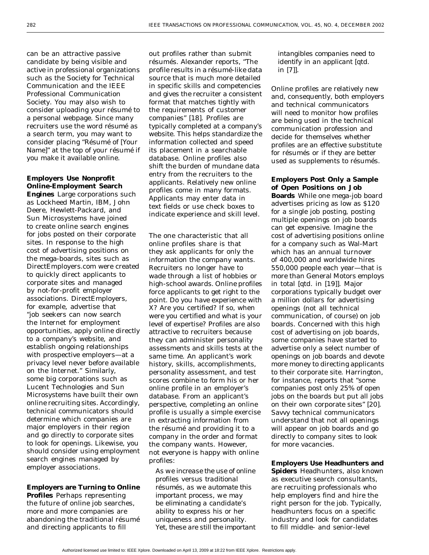can be an attractive passive candidate by being visible and active in professional organizations such as the Society for Technical Communication and the IEEE Professional Communication Society. You may also wish to consider uploading your résumé to a personal webpage. Since many recruiters use the word *résumé* as a search term, you may want to consider placing "Résumé of [Your Name]" at the top of your résumé if you make it available online.

# **Employers Use Nonprofit Online-Employment Search**

**Engines** Large corporations such as Lockheed Martin, IBM, John Deere, Hewlett-Packard, and Sun Microsystems have joined to create online search engines for jobs posted on their corporate sites. In response to the high cost of advertising positions on the mega-boards, sites such as DirectEmployers.com were created to quickly direct applicants to corporate sites and managed by not-for-profit employer associations. DirectEmployers, for example, advertise that "job seekers can now search the Internet for employment opportunities, apply online directly to a company's website, and establish ongoing relationships with prospective employers—at a privacy level never before available on the Internet." Similarly, some big corporations such as Lucent Technologies and Sun Microsystems have built their own online recruiting sites. Accordingly, technical communicators should determine which companies are major employers in their region and go directly to corporate sites to look for openings. Likewise, you should consider using employment search engines managed by employer associations.

# **Employers are Turning to Online**

**Profiles** Perhaps representing the future of online job searches, more and more companies are abandoning the traditional résumé and directing applicants to fill

out profiles rather than submit résumés. Alexander reports, "The profile results in a résumé-like data source that is much more detailed in specific skills and competencies and gives the recruiter a consistent format that matches tightly with the requirements of customer companies" [18]. Profiles are typically completed at a company's website. This helps standardize the information collected and speed its placement in a searchable database. Online profiles also shift the burden of mundane data entry from the recruiters to the applicants. Relatively new online profiles come in many formats. Applicants may enter data in text fields or use check boxes to indicate experience and skill level.

The one characteristic that all online profiles share is that they ask applicants for only the information the company wants. Recruiters no longer have to wade through a list of hobbies or high-school awards. Online profiles force applicants to get right to the point. Do you have experience with X? Are you certified? If so, when were you certified and what is your level of expertise? Profiles are also attractive to recruiters because they can administer personality assessments and skills tests at the same time. An applicant's work history, skills, accomplishments, personality assessment, and test scores combine to form his or her online profile in an employer's database. From an applicant's perspective, completing an online profile is usually a simple exercise in extracting information from the résumé and providing it to a company in the order and format the company wants. However, not everyone is happy with online profiles:

*As we increase the use of online profiles versus traditional résumés, as we automate this important process, we may be eliminating a candidate's ability to express his or her uniqueness and personality. Yet, these are still the important* *intangibles companies need to identify in an applicant* [qtd. in [7]].

Online profiles are relatively new and, consequently, both employers and technical communicators will need to monitor how profiles are being used in the technical communication profession and decide for themselves whether profiles are an effective substitute for résumés or if they are better used as supplements to résumés.

# **Employers Post Only a Sample of Open Positions on Job**

**Boards** While one mega-job board advertises pricing as low as \$120 for a single job posting, posting multiple openings on job boards can get expensive. Imagine the cost of advertising positions online for a company such as Wal-Mart which has an annual turnover of 400,000 and worldwide hires 550,000 people each year—that is more than General Motors employs in total [qtd. in [19]]. Major corporations typically budget over a million dollars for advertising openings (not all technical communication, of course) on job boards. Concerned with this high cost of advertising on job boards, some companies have started to advertise only a select number of openings on job boards and devote more money to directing applicants to their corporate site. Harrington, for instance, reports that "some companies post only 25% of open jobs on the boards but put all jobs on their own corporate sites" [20]. Savvy technical communicators understand that not all openings will appear on job boards and go directly to company sites to look for more vacancies.

# **Employers Use Headhunters and**

**Spiders** Headhunters, also known as executive search consultants, are recruiting professionals who help employers find and hire the right person for the job. Typically, headhunters focus on a specific industry and look for candidates to fill middle- and senior-level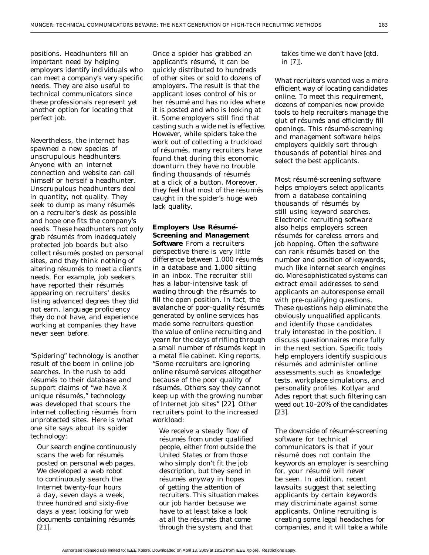positions. Headhunters fill an important need by helping employers identify individuals who can meet a company's very specific needs. They are also useful to technical communicators since these professionals represent yet another option for locating that perfect job.

Nevertheless, the internet has spawned a new species of unscrupulous headhunters. Anyone with an internet connection and website can call himself or herself a headhunter. Unscrupulous headhunters deal in quantity, not quality. They seek to dump as many résumés on a recruiter's desk as possible and hope one fits the company's needs. These headhunters not only grab résumés from inadequately protected job boards but also collect résumés posted on personal sites, and they think nothing of altering résumés to meet a client's needs. For example, job seekers have reported their résumés appearing on recruiters' desks listing advanced degrees they did not earn, language proficiency they do not have, and experience working at companies they have never seen before.

"Spidering" technology is another result of the boom in online job searches. In the rush to add résumés to their database and support claims of "we have X unique résumés," technology was developed that scours the internet collecting résumés from unprotected sites. Here is what one site says about its spider technology:

*Our search engine continuously scans the web for résumés posted on personal web pages. We developed a web robot to continuously search the Internet twenty-four hours a day, seven days a week, three hundred and sixty-five days a year, looking for web documents containing résumés* [21].

Once a spider has grabbed an applicant's résumé, it can be quickly distributed to hundreds of other sites or sold to dozens of employers. The result is that the applicant loses control of his or her résumé and has no idea where it is posted and who is looking at it. Some employers still find that casting such a wide net is effective. However, while spiders take the work out of collecting a truckload of résumés, many recruiters have found that during this economic downturn they have no trouble finding thousands of résumés at a click of a button. Moreover, they feel that most of the résumés caught in the spider's huge web lack quality.

# **Employers Use Résumé-Screening and Management**

**Software** From a recruiters perspective there is very little difference between 1,000 résumés in a database and 1,000 sitting in an inbox. The recruiter still has a labor-intensive task of wading through the résumés to fill the open position. In fact, the avalanche of poor-quality résumés generated by online services has made some recruiters question the value of online recruiting and yearn for the days of rifling through a small number of résumés kept in a metal file cabinet. King reports, "Some recruiters are ignoring online résumé services altogether because of the poor quality of résumés. Others say they cannot keep up with the growing number of Internet job sites" [22]. Other recruiters point to the increased workload:

*We receive a steady flow of résumés from under qualified people, either from outside the United States or from those who simply don't fit the job description, but they send in résumés anyway in hopes of getting the attention of recruiters. This situation makes our job harder because we have to at least take a look at all the résumés that come through the system, and that*

*takes time we don't have* [qtd. in [7]].

What recruiters wanted was a more efficient way of locating candidates online. To meet this requirement, dozens of companies now provide tools to help recruiters manage the glut of résumés and efficiently fill openings. This résumé-screening and management software helps employers quickly sort through thousands of potential hires and select the best applicants.

Most résumé-screening software helps employers select applicants from a database containing thousands of résumés by still using keyword searches. Electronic recruiting software also helps employers screen résumés for careless errors and job hopping. Often the software can rank résumés based on the number and position of keywords, much like internet search engines do. More sophisticated systems can extract email addresses to send applicants an autoresponse email with pre-qualifying questions. These questions help eliminate the obviously unqualified applicants and identify those candidates truly interested in the position. I discuss questionnaires more fully in the next section. Specific tools help employers identify suspicious résumés and administer online assessments such as knowledge tests, workplace simulations, and personality profiles. Kotlyar and Ades report that such filtering can weed out 10–20% of the candidates [23].

The downside of résumé-screening software for technical communicators is that if your résumé does not contain the keywords an employer is searching for, your résumé will never be seen. In addition, recent lawsuits suggest that selecting applicants by certain keywords may discriminate against some applicants. Online recruiting is creating some legal headaches for companies, and it will take a while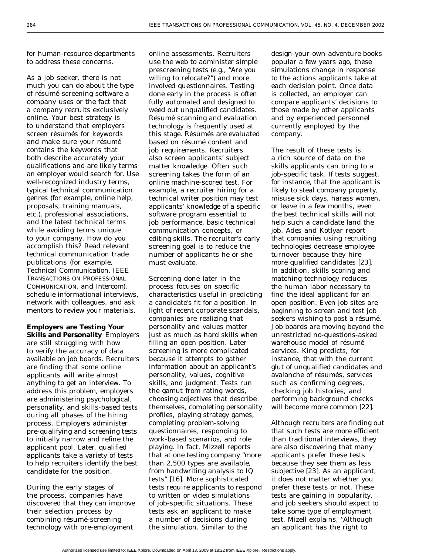for human-resource departments to address these concerns.

As a job seeker, there is not much you can do about the type of résumé-screening software a company uses or the fact that a company recruits exclusively online. Your best strategy is to understand that employers screen résumés for keywords and make sure your résumé contains the keywords that both describe accurately your qualifications and are likely terms an employer would search for. Use well-recognized industry terms, typical technical communication genres (for example, online help, proposals, training manuals, etc.), professional associations, and the latest technical terms while avoiding terms unique to your company. How do you accomplish this? Read relevant technical communication trade publications (for example, *Technical Communication*, IEEE TRANSACTIONS ON PROFESSIONAL COMMUNICATION, and *Intercom*), schedule informational interviews, network with colleagues, and ask mentors to review your materials.

**Employers are Testing Your Skills and Personality** Employers are still struggling with how to verify the accuracy of data available on job boards. Recruiters are finding that some online applicants will write almost anything to get an interview. To address this problem, employers are administering psychological, personality, and skills-based tests during all phases of the hiring process. Employers administer pre-qualifying and screening tests to initially narrow and refine the applicant pool. Later, qualified applicants take a variety of tests to help recruiters identify the best candidate for the position.

During the early stages of the process, companies have discovered that they can improve their selection process by combining résumé-screening technology with pre-employment

online assessments. Recruiters use the web to administer simple prescreening tests (e.g., "Are you willing to relocate?") and more involved questionnaires. Testing done early in the process is often fully automated and designed to weed out unqualified candidates. Résumé scanning and evaluation technology is frequently used at this stage. Résumés are evaluated based on résumé content and job requirements. Recruiters also screen applicants' subject matter knowledge. Often such screening takes the form of an online machine-scored test. For example, a recruiter hiring for a technical writer position may test applicants' knowledge of a specific software program essential to job performance, basic technical communication concepts, or editing skills. The recruiter's early screening goal is to reduce the number of applicants he or she must evaluate.

Screening done later in the process focuses on specific characteristics useful in predicting a candidate's fit for a position. In light of recent corporate scandals, companies are realizing that personality and values matter just as much as hard skills when filling an open position. Later screening is more complicated because it attempts to gather information about an applicant's personality, values, cognitive skills, and judgment. Tests run the gamut from rating words, choosing adjectives that describe themselves, completing personality profiles, playing strategy games, completing problem-solving questionnaires, responding to work-based scenarios, and role playing. In fact, Mizzell reports that at one testing company "more than 2,500 types are available, from handwriting analysis to IQ tests" [16]. More sophisticated tests require applicants to respond to written or video simulations of job-specific situations. These tests ask an applicant to make a number of decisions during the simulation. Similar to the

design-your-own-adventure books popular a few years ago, these simulations change in response to the actions applicants take at each decision point. Once data is collected, an employer can compare applicants' decisions to those made by other applicants and by experienced personnel currently employed by the company.

The result of these tests is a rich source of data on the skills applicants can bring to a job-specific task. If tests suggest, for instance, that the applicant is likely to steal company property, misuse sick days, harass women, or leave in a few months, even the best technical skills will not help such a candidate land the job. Ades and Kotlyar report that companies using recruiting technologies decrease employee turnover because they hire more qualified candidates [23]. In addition, skills scoring and matching technology reduces the human labor necessary to find the ideal applicant for an open position. Even job sites are beginning to screen and test job seekers wishing to post a résumé. Job boards are moving beyond the unrestricted no-questions-asked warehouse model of résumé services. King predicts, for instance, that with the current glut of unqualified candidates and avalanche of résumés, services such as confirming degrees, checking job histories, and performing background checks will become more common [22].

Although recruiters are finding out that such tests are more efficient than traditional interviews, they are also discovering that many applicants prefer these tests because they see them as less subjective [23]. As an applicant, it does not matter whether you prefer these tests or not. These tests are gaining in popularity, and job seekers should expect to take some type of employment test. Mizell explains, "Although an applicant has the right to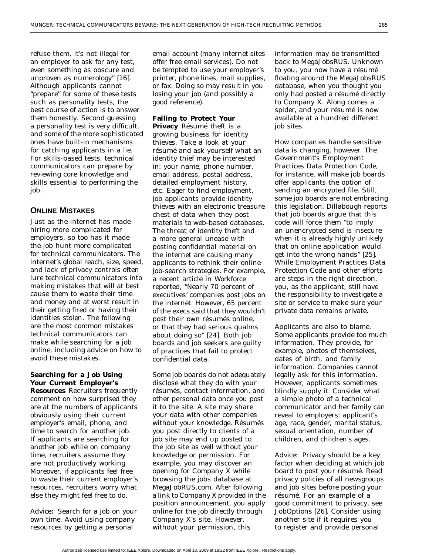refuse them, it's not illegal for an employer to ask for any test, even something as obscure and unproven as numerology" [16]. Although applicants cannot "prepare" for some of these tests such as personality tests, the best course of action is to answer them honestly. Second guessing a personality test is very difficult, and some of the more sophisticated ones have built-in mechanisms for catching applicants in a lie. For skills-based tests, technical communicators can prepare by reviewing core knowledge and skills essential to performing the job.

# **ONLINE MISTAKES**

Just as the internet has made hiring more complicated for employers, so too has it made the job hunt more complicated for technical communicators. The internet's global reach, size, speed, and lack of privacy controls often lure technical communicators into making mistakes that will at best cause them to waste their time and money and at worst result in their getting fired or having their identities stolen. The following are the most common mistakes technical communicators can make while searching for a job online, including advice on how to avoid these mistakes.

# **Searching for a Job Using Your Current Employer's**

**Resources** Recruiters frequently comment on how surprised they are at the numbers of applicants obviously using their current employer's email, phone, and time to search for another job. If applicants are searching for another job while on company time, recruiters assume they are not productively working. Moreover, if applicants feel free to waste their current employer's resources, recruiters worry what else they might feel free to do.

*Advice***:** Search for a job on your own time. Avoid using company resources by getting a personal

email account (many internet sites offer free email services). Do not be tempted to use your employer's printer, phone lines, mail supplies, or fax. Doing so may result in you losing your job (and possibly a good reference).

# **Failing to Protect Your**

**Privacy** Résumé theft is a growing business for identity thieves. Take a look at your résumé and ask yourself what an identity thief may be interested in: your name, phone number, email address, postal address, detailed employment history, etc. Eager to find employment, job applicants provide identity thieves with an electronic treasure chest of data when they post materials to web-based databases. The threat of identity theft and a more general unease with posting confidential material on the internet are causing many applicants to rethink their online job-search strategies. For example, a recent article in *Workforce* reported, "Nearly 70 percent of executives' companies post jobs on the internet. However, 65 percent of the execs said that they wouldn't post their own résumés online, or that they had serious qualms about doing so" [24]. Both job boards and job seekers are guilty of practices that fail to protect confidential data.

Some job boards do not adequately disclose what they do with your résumés, contact information, and other personal data once you post it to the site. A site may share your data with other companies without your knowledge. Résumés you post directly to clients of a job site may end up posted to the job site as well without your knowledge or permission. For example, you may discover an opening for Company X while browsing the jobs database at MegaJobRUS.com. After following a link to Company X provided in the position announcement, you apply online for the job directly through Company X's site. However, without your permission, this

information may be transmitted back to MegaJobsRUS. Unknown to you, you now have a résumé floating around the MegaJobsRUS database, when you thought you only had posted a résumé directly to Company X. Along comes a spider, and your résumé is now available at a hundred different job sites.

How companies handle sensitive data is changing, however. The Government's Employment Practices Data Protection Code, for instance, will make job boards offer applicants the option of sending an encrypted file. Still, some job boards are not embracing this legislation. Dillabough reports that job boards argue that this code will force them "to imply an unencrypted send is insecure when it is already highly unlikely that on online application would get into the wrong hands" [25]. While Employment Practices Data Protection Code and other efforts are steps in the right direction, you, as the applicant, still have the responsibility to investigate a site or service to make sure your private data remains private.

Applicants are also to blame. Some applicants provide too much information. They provide, for example, photos of themselves, dates of birth, and family information. Companies cannot legally ask for this information. However, applicants sometimes blindly supply it. Consider what a simple photo of a technical communicator and her family can reveal to employers: applicant's age, race, gender, marital status, sexual orientation, number of children, and children's ages.

*Advice***:** Privacy should be a key factor when deciding at which job board to post your résumé. Read privacy policies of all newsgroups and job sites before posting your résumé. For an example of a good commitment to privacy, see JobOptions [26]. Consider using another site if it requires you to register and provide personal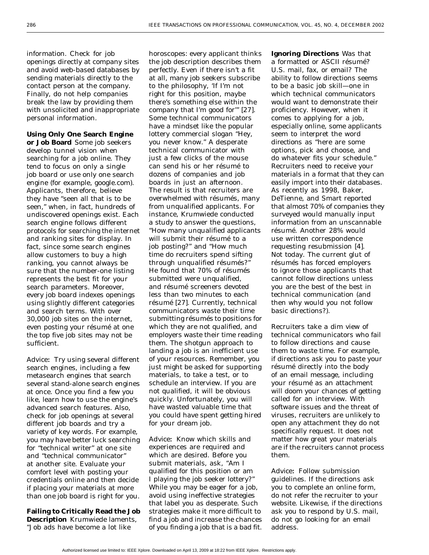information. Check for job openings directly at company sites and avoid web-based databases by sending materials directly to the contact person at the company. Finally, do not help companies break the law by providing them with unsolicited and inappropriate personal information.

### **Using Only One Search Engine**

**or Job Board** Some job seekers develop tunnel vision when searching for a job online. They tend to focus on only a single job board or use only one search engine (for example, google.com). Applicants, therefore, believe they have "seen all that is to be seen," when, in fact, hundreds of undiscovered openings exist. Each search engine follows different protocols for searching the internet and ranking sites for display. In fact, since some search engines allow customers to buy a high ranking, you cannot always be sure that the number-one listing represents the best fit for your search parameters. Moreover, every job board indexes openings using slightly different categories and search terms. With over 30,000 job sites on the internet, even posting your résumé at one the top five job sites may not be sufficient.

*Advice***:** Try using several different search engines, including a few metasearch engines that search several stand-alone search engines at once. Once you find a few you like, learn how to use the engine's advanced search features. Also, check for job openings at several different job boards and try a variety of key words. For example, you may have better luck searching for "technical writer" at one site and "technical communicator" at another site. Evaluate your comfort level with posting your credentials online and then decide if placing your materials at more than one job board is right for you.

**Failing to Critically Read the Job Description** Krumwiede laments, "Job ads have become a lot like

horoscopes: every applicant thinks the job description describes them perfectly. Even if there isn't a fit at all, many job seekers subscribe to the philosophy, 'If I'm not right for this position, maybe there's something else within the company that I'm good for'" [27]. Some technical communicators have a mindset like the popular lottery commercial slogan "Hey, you never know." A desperate technical communicator with just a few clicks of the mouse can send his or her résumé to dozens of companies and job boards in just an afternoon. The result is that recruiters are overwhelmed with résumés, many from unqualified applicants. For instance, Krumwiede conducted a study to answer the questions, "How many unqualified applicants will submit their résumé to a job posting?" and "How much time do recruiters spend sifting through unqualified résumés?" He found that 70% of résumés submitted were unqualified, and résumé screeners devoted less than two minutes to each résumé [27]. Currently, technical communicators waste their time submitting résumés to positions for which they are not qualified, and employers waste their time reading them. The shotgun approach to landing a job is an inefficient use of your resources. Remember, you just might be asked for supporting materials, to take a test, or to schedule an interview. If you are not qualified, it will be obvious quickly. Unfortunately, you will have wasted valuable time that you could have spent getting hired for your dream job.

*Advice***:** Know which skills and experiences are required and which are desired. Before you submit materials, ask, "Am I qualified for this position or am I playing the job seeker lottery?" While you may be eager for a job, avoid using ineffective strategies that label you as desperate. Such strategies make it more difficult to find a job and increase the chances of you finding a job that is a bad fit.

**Ignoring Directions** Was that a formatted or ASCII résumé? U.S. mail, fax, or email? The ability to follow directions seems to be a basic job skill—one in which technical communicators would want to demonstrate their proficiency. However, when it comes to applying for a job, especially online, some applicants seem to interpret the word *directions* as "here are some options, pick and choose, and do whatever fits your schedule." Recruiters need to receive your materials in a format that they can easily import into their databases. As recently as 1998, Baker, DeTienne, and Smart reported that almost 70% of companies they surveyed would manually input information from an unscannable résumé. Another 28% would use written correspondence requesting resubmission [4]. Not today. The current glut of résumés has forced employers to ignore those applicants that cannot follow directions unless you are the best of the best in technical communication (and then why would you not follow basic directions?).

Recruiters take a dim view of technical communicators who fail to follow directions and cause them to waste time. For example, if directions ask you to paste your résumé directly into the body of an email message, including your résumé as an attachment will doom your chances of getting called for an interview. With software issues and the threat of viruses, recruiters are unlikely to open any attachment they do not specifically request. It does not matter how great your materials are if the recruiters cannot process them.

*Advice***:** Follow submission guidelines. If the directions ask you to complete an online form, do not refer the recruiter to your website. Likewise, if the directions ask you to respond by U.S. mail, do not go looking for an email address.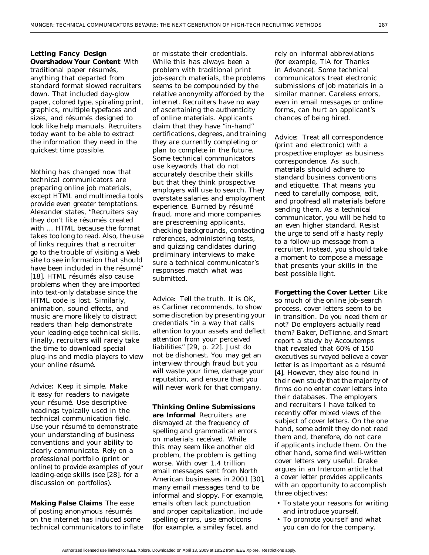# **Letting Fancy Design Overshadow Your Content** With traditional paper résumés, anything that departed from standard format slowed recruiters down. That included day-glow paper, colored type, spiraling print, graphics, multiple typefaces and sizes, and résumés designed to look like help manuals. Recruiters today want to be able to extract the information they need in the quickest time possible.

Nothing has changed now that technical communicators are preparing online job materials, except HTML and multimedia tools provide even greater temptations. Alexander states, "Recruiters say they don't like résumés created with … HTML because the format takes too long to read. Also, the use of links requires that a recruiter go to the trouble of visiting a Web site to see information that should have been included in the résumé" [18]. HTML résumés also cause problems when they are imported into text-only database since the HTML code is lost. Similarly, animation, sound effects, and music are more likely to distract readers than help demonstrate your leading-edge technical skills. Finally, recruiters will rarely take the time to download special plug-ins and media players to view your online résumé.

*Advice***:** Keep it simple. Make it easy for readers to navigate your résumé. Use descriptive headings typically used in the technical communication field. Use your résumé to demonstrate your understanding of business conventions and your ability to clearly communicate. Rely on a professional portfolio (print or online) to provide examples of your leading-edge skills (see [28], for a discussion on portfolios).

**Making False Claims** The ease of posting anonymous résumés on the internet has induced some technical communicators to inflate

or misstate their credentials. While this has always been a problem with traditional print job-search materials, the problems seems to be compounded by the relative anonymity afforded by the internet. Recruiters have no way of ascertaining the authenticity of online materials. Applicants claim that they have "in-hand" certifications, degrees, and training they are currently completing or plan to complete in the future. Some technical communicators use keywords that do not accurately describe their skills but that they think prospective employers will use to search. They overstate salaries and employment experience. Burned by résumé fraud, more and more companies are prescreening applicants, checking backgrounds, contacting references, administering tests, and quizzing candidates during preliminary interviews to make sure a technical communicator's responses match what was submitted.

*Advice***:** Tell the truth. It is OK, as Carliner recommends, to show some discretion by presenting your credentials "in a way that calls attention to your assets and deflect attention from your perceived liabilities" [29, p. 22]. Just do not be dishonest. You may get an interview through fraud but you will waste your time, damage your reputation, and ensure that you will never work for that company.

#### **Thinking Online Submissions are Informal** Recruiters are

dismayed at the frequency of spelling and grammatical errors on materials received. While this may seem like another old problem, the problem is getting worse. With over 1.4 trillion email messages sent from North American businesses in 2001 [30], many email messages tend to be informal and sloppy. For example, emails often lack punctuation and proper capitalization, include spelling errors, use emoticons (for example, a smiley face), and

rely on informal abbreviations (for example, TIA for Thanks in Advance). Some technical communicators treat electronic submissions of job materials in a similar manner. Careless errors, even in email messages or online forms, can hurt an applicant's chances of being hired.

*Advice***:** Treat all correspondence (print and electronic) with a prospective employer as business correspondence. As such, materials should adhere to standard business conventions and etiquette. That means you need to carefully compose, edit, and proofread all materials before sending them. As a technical communicator, you will be held to an even higher standard. Resist the urge to send off a hasty reply to a follow-up message from a recruiter. Instead, you should take a moment to compose a message that presents your skills in the best possible light.

**Forgetting the Cover Letter** Like so much of the online job-search process, cover letters seem to be in transition. Do you need them or not? Do employers actually read them? Baker, DeTienne, and Smart report a study by Accoutemps that revealed that 60% of 150 executives surveyed believe a cover letter is as important as a résumé [4]. However, they also found in their own study that the majority of firms do no enter cover letters into their databases. The employers and recruiters I have talked to recently offer mixed views of the subject of cover letters. On the one hand, some admit they do not read them and, therefore, do not care if applicants include them. On the other hand, some find well-written cover letters very useful. Drake argues in an *Intercom* article that a cover letter provides applicants with an opportunity to accomplish three objectives:

- To state your reasons for writing and introduce yourself.
- To promote yourself and what you can do for the company.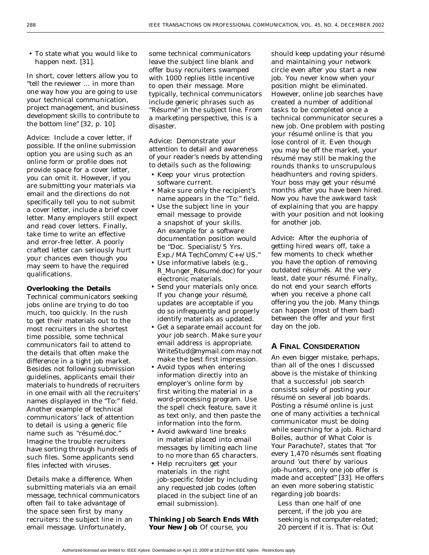• To state what you would like to happen next. [31].

In short, cover letters allow you to "tell the reviewer … in more than one way how you are going to use your technical communication, project management, and business development skills to contribute to the bottom line" [32, p. 10].

*Advice***:** Include a cover letter, if possible. If the online submission option you are using such as an online form or profile does not provide space for a cover letter, you can omit it. However, if you are submitting your materials via email and the directions do not specifically tell you to not submit a cover letter, include a brief cover letter. Many employers still expect and read cover letters. Finally, take time to write an effective and error-free letter. A poorly crafted letter can seriously hurt your chances even though you may seem to have the required qualifications.

# **Overlooking the Details**

Technical communicators seeking jobs online are trying to do too much, too quickly. In the rush to get their materials out to the most recruiters in the shortest time possible, some technical communicators fail to attend to the details that often make the difference in a tight job market. Besides not following submission guidelines, applicants email their materials to hundreds of recruiters in one email with all the recruiters' names displayed in the "To:" field. Another example of technical communicators' lack of attention to detail is using a generic file name such as "résumé.doc." Imagine the trouble recruiters have sorting through hundreds of such files. Some applicants send files infected with viruses.

Details make a difference. When submitting materials via an email message, technical communicators often fail to take advantage of the space seen first by many recruiters: the subject line in an email message. Unfortunately,

some technical communicators leave the subject line blank and offer busy recruiters swamped with 1000 replies little incentive to open their message. More typically, technical communicators include generic phrases such as "Résumé" in the subject line. From a marketing perspective, this is a disaster.

*Advice***:** Demonstrate your attention to detail and awareness of your reader's needs by attending to details such as the following:

- Keep your virus protection software current.
- Make sure only the recipient's name appears in the "To:" field.
- Use the subject line in your email message to provide a snapshot of your skills. An example for a software documentation position would be "Doc. Specialist/5 Yrs. Exp./MA TechComm/C++/US."
- Use informative labels (e.g., R\_Munger\_Résumé.doc) for your electronic materials.
- Send your materials only once. If you change your résumé, updates are acceptable if you do so infrequently and properly identify materials as updated.
- Get a separate email account for your job search. Make sure your email address is appropriate. WriteStud@mymail.com may not make the best first impression.
- Avoid typos when entering information directly into an employer's online form by first writing the material in a word-processing program. Use the spell check feature, save it as text only, and then paste the information into the form.
- Avoid awkward line breaks in material placed into email messages by limiting each line to no more than 65 characters.
- Help recruiters get your materials in the right job-specific folder by including any requested job codes (often placed in the subject line of an email submission).

**Thinking Job Search Ends With Your New Job** Of course, you

should keep updating your résumé and maintaining your network circle even after you start a new job. You never know when your position might be eliminated. However, online job searches have created a number of additional tasks to be completed once a technical communicator secures a new job. One problem with posting your résumé online is that you lose control of it. Even though you may be off the market, your résumé may still be making the rounds thanks to unscrupulous headhunters and roving spiders. Your boss may get your résumé months after you have been hired. Now you have the awkward task of explaining that you are happy with your position and not looking for another job.

*Advice***:** After the euphoria of getting hired wears off, take a few moments to check whether you have the option of removing outdated résumés. At the very least, date your résumé. Finally, do not end your search efforts when you receive a phone call offering you the job. Many things can happen (most of them bad) between the offer and your first day on the job.

# **A FINAL CONSIDERATION**

An even bigger mistake, perhaps, than all of the ones I discussed above is the mistake of thinking that a successful job search consists solely of posting your résumé on several job boards. Posting a résumé online is just one of many activities a technical communicator must be doing while searching for a job. Richard Bolles, author of *What Color is Your Parachute?*, states that "for every 1,470 résumés sent floating around 'out there' by various job-hunters, only one job offer is made and accepted" [33]. He offers an even more sobering statistic regarding job boards:

*Less than one half of one percent, if the job you are seeking is not computer-related; 20 percent if it is. That is: Out*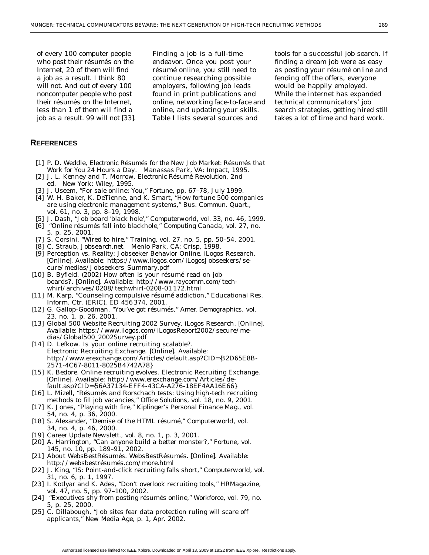*of every 100 computer people who post their résumés on the Internet, 20 of them will find a job as a result. I think 80 will not. And out of every 100 noncomputer people who post their résumés on the Internet, less than 1 of them will find a job as a result. 99 will not* [33]. Finding a job is a full-time endeavor. Once you post your résumé online, you still need to continue researching possible employers, following job leads found in print publications and online, networking face-to-face and online, and updating your skills. Table I lists several sources and

tools for a successful job search. If finding a dream job were as easy as posting your résumé online and fending off the offers, everyone would be happily employed. While the internet has expanded technical communicators' job search strategies, getting hired still takes a lot of time and hard work.

# **REFERENCES**

- [1] P. D. Weddle, *Electronic Résumés for the New Job Market: Résumés that Work for You 24 Hours a Day*. Manassas Park, VA: Impact, 1995.
- [2] J. L. Kenney and T. Morrow, *Electronic Résumé Revolution*, 2nd ed. New York: Wiley, 1995.
- [3] J. Useem, "For sale online: You," *Fortune*, pp. 67–78, July 1999.
- [4] W. H. Baker, K. DeTienne, and K. Smart, "How fortune 500 companies are using electronic management systems," *Bus. Commun. Quart.*, vol. 61, no. 3, pp. 8–19, 1998.
- [5] J. Dash, "Job board 'black hole'," *Computerworld*, vol. 33, no. 46, 1999.
- [6] "Online résumés fall into blackhole," *Computing Canada*, vol. 27, no. 5, p. 25, 2001.
- [7] S. Corsini, "Wired to hire," *Training*, vol. 27, no. 5, pp. 50–54, 2001.
- [8] C. Straub, *Jobsearch.net*. Menlo Park, CA: Crisp, 1998.
- [9] Perception vs. Reality: Jobseeker Behavior Online. iLogos Research. [Online]. Available: https://www.ilogos.com/iLogosJobseekers/secure/medias/Jobseekers\_Summary.pdf
- [10] B. Byfield. (2002) How often is your résumé read on job boards?. [Online]. Available: http://www.raycomm.com/techwhirl/archives/0208/techwhirl-0208-01 172.html
- [11] M. Karp, "Counseling compulsive résumé addiction," Educational Res. Inform. Ctr. (ERIC), ED 456 374, 2001.
- [12] G. Gallop-Goodman, "You've got résumés," *Amer. Demographics*, vol. 23, no. 1, p. 26, 2001.
- [13] Global 500 Website Recruiting 2002 Survey. iLogos Research. [Online]. Available: https://www.ilogos.com/iLogosReport2002/secure/medias/Global500\_2002Survey.pdf
- [14] D. Lefkow. Is your online recruiting scalable?. Electronic Recruiting Exchange. [Online]. Available: http://www.erexchange.com/Articles/default.asp?CID={B2D65E8B-2571-4C67-8011-8025B4742A78}
- [15] K. Bedore. Online recruiting evolves. Electronic Recruiting Exchange. [Online]. Available: http://www.erexchange.com/Articles/default.asp?CID={56A37134-EFF4-43CA-A276-18EF4AA16E66}
- [16] L. Mizell, "Résumés and Rorschach tests: Using high-tech recruiting methods to fill job vacancies," *Office Solutions*, vol. 18, no. 9, 2001.
- [17] K. Jones, "Playing with fire," *Kiplinger's Personal Finance Mag.*, vol. 54, no. 4, p. 36, 2000.
- [18] S. Alexander, "Demise of the HTML résumé," *Computerworld*, vol. 34, no. 4, p. 46, 2000.
- [19] *Career Update Newslett.*, vol. 8, no. 1, p. 3, 2001.
- [20] A. Harrington, "Can anyone build a better monster?," *Fortune*, vol. 145, no. 10, pp. 189–91, 2002.
- [21] About WebsBestRésumés. WebsBestRésumés. [Online]. Available: http://websbestrésumés.com/more.html
- [22] J. King, "IS: Point-and-click recruiting falls short," *Computerworld*, vol. 31, no. 6, p. 1, 1997.
- [23] I. Kotlyar and K. Ades, "Don't overlook recruiting tools," *HRMagazine*, vol. 47, no. 5, pp. 97–100, 2002.
- [24] "Executives shy from posting résumés online," *Workforce*, vol. 79, no. 5, p. 25, 2000.
- [25] C. Dillabough, "Job sites fear data protection ruling will scare off applicants," *New Media Age*, p. 1, Apr. 2002.